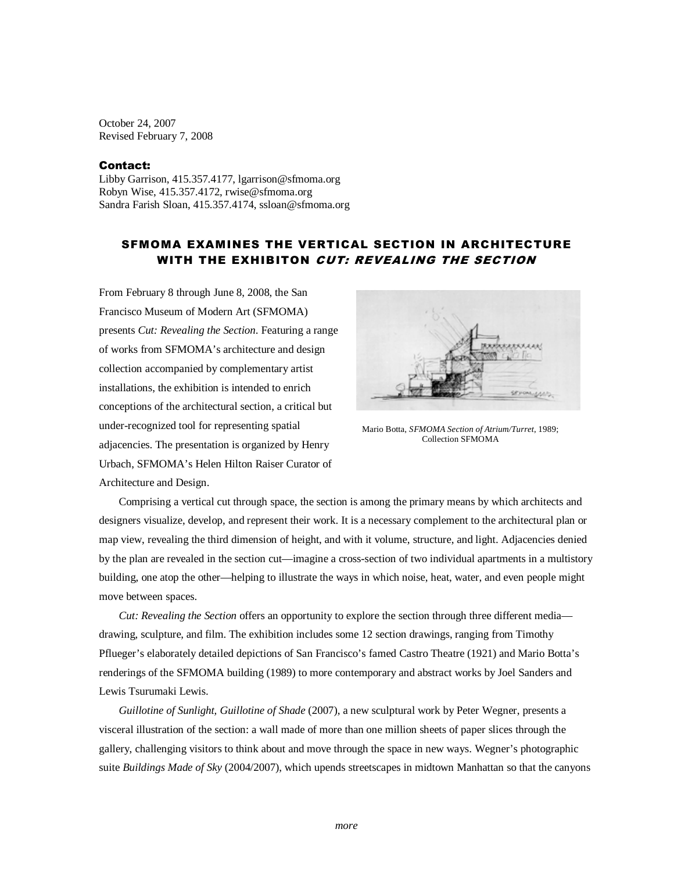October 24, 2007 Revised February 7, 2008

## Contact:

Libby Garrison, 415.357.4177, lgarrison@sfmoma.org Robyn Wise, 415.357.4172, rwise@sfmoma.org Sandra Farish Sloan, 415.357.4174, ssloan@sfmoma.org

## SFMOMA EXAMINES THE VERTICAL SECTION IN ARCHITECTURE WITH THE EXHIBITON CUT: REVEALING THE SECTION

From February 8 through June 8, 2008, the San Francisco Museum of Modern Art (SFMOMA) presents *Cut: Revealing the Section*. Featuring a range of works from SFMOMA's architecture and design collection accompanied by complementary artist installations, the exhibition is intended to enrich conceptions of the architectural section, a critical but under-recognized tool for representing spatial adjacencies. The presentation is organized by Henry Urbach, SFMOMA's Helen Hilton Raiser Curator of Architecture and Design.



Mario Botta, *SFMOMA Section of Atrium/Turret*, 1989; Collection SFMOMA

 Comprising a vertical cut through space, the section is among the primary means by which architects and designers visualize, develop, and represent their work. It is a necessary complement to the architectural plan or map view, revealing the third dimension of height, and with it volume, structure, and light. Adjacencies denied by the plan are revealed in the section cut—imagine a cross-section of two individual apartments in a multistory building, one atop the other—helping to illustrate the ways in which noise, heat, water, and even people might move between spaces.

*Cut: Revealing the Section* offers an opportunity to explore the section through three different media drawing, sculpture, and film. The exhibition includes some 12 section drawings, ranging from Timothy Pflueger's elaborately detailed depictions of San Francisco's famed Castro Theatre (1921) and Mario Botta's renderings of the SFMOMA building (1989) to more contemporary and abstract works by Joel Sanders and Lewis Tsurumaki Lewis.

*Guillotine of Sunlight, Guillotine of Shade* (2007), a new sculptural work by Peter Wegner, presents a visceral illustration of the section: a wall made of more than one million sheets of paper slices through the gallery, challenging visitors to think about and move through the space in new ways. Wegner's photographic suite *Buildings Made of Sky* (2004/2007), which upends streetscapes in midtown Manhattan so that the canyons